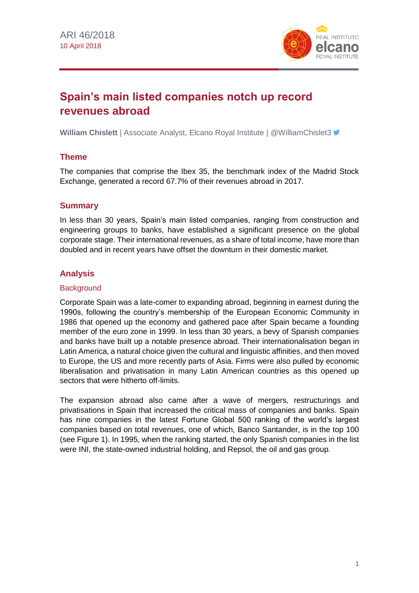

# **Spain's main listed companies notch up record revenues abroad**

**William Chislett** | Associate Analyst, Elcano Royal Institute | @WilliamChislet3 <del>■</del>

# **Theme**

The companies that comprise the Ibex 35, the benchmark index of the Madrid Stock Exchange, generated a record 67.7% of their revenues abroad in 2017.

# **Summary**

In less than 30 years, Spain's main listed companies, ranging from construction and engineering groups to banks, have established a significant presence on the global corporate stage. Their international revenues, as a share of total income, have more than doubled and in recent years have offset the downturn in their domestic market.

# **Analysis**

### **Background**

Corporate Spain was a late-comer to expanding abroad, beginning in earnest during the 1990s, following the country's membership of the European Economic Community in 1986 that opened up the economy and gathered pace after Spain became a founding member of the euro zone in 1999. In less than 30 years, a bevy of Spanish companies and banks have built up a notable presence abroad. Their internationalisation began in Latin America, a natural choice given the cultural and linguistic affinities, and then moved to Europe, the US and more recently parts of Asia. Firms were also pulled by economic liberalisation and privatisation in many Latin American countries as this opened up sectors that were hitherto off-limits.

The expansion abroad also came after a wave of mergers, restructurings and privatisations in Spain that increased the critical mass of companies and banks. Spain has nine companies in the latest Fortune Global 500 ranking of the world's largest companies based on total revenues, one of which, Banco Santander, is in the top 100 (see Figure 1). In 1995, when the ranking started, the only Spanish companies in the list were INI, the state-owned industrial holding, and Repsol, the oil and gas group.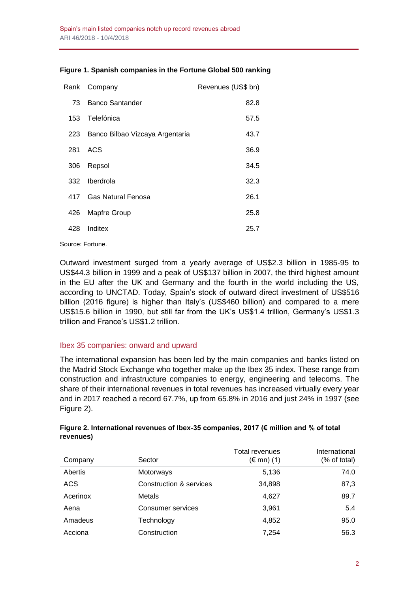|     | Rank Company                    | Revenues (US\$ bn) |
|-----|---------------------------------|--------------------|
| 73  | Banco Santander                 | 82.8               |
| 153 | Telefónica                      | 57.5               |
| 223 | Banco Bilbao Vizcaya Argentaria | 43.7               |
| 281 | ACS                             | 36.9               |
| 306 | Repsol                          | 34.5               |
| 332 | Iberdrola                       | 32.3               |
| 417 | <b>Gas Natural Fenosa</b>       | 26.1               |
| 426 | Mapfre Group                    | 25.8               |
| 428 | Inditex                         | 25.7               |

### **Figure 1. Spanish companies in the Fortune Global 500 ranking**

Source: Fortune.

Outward investment surged from a yearly average of US\$2.3 billion in 1985-95 to US\$44.3 billion in 1999 and a peak of US\$137 billion in 2007, the third highest amount in the EU after the UK and Germany and the fourth in the world including the US, according to UNCTAD. Today, Spain's stock of outward direct investment of US\$516 billion (2016 figure) is higher than Italy's (US\$460 billion) and compared to a mere US\$15.6 billion in 1990, but still far from the UK's US\$1.4 trillion, Germany's US\$1.3 trillion and France's US\$1.2 trillion.

### Ibex 35 companies: onward and upward

The international expansion has been led by the main companies and banks listed on the Madrid Stock Exchange who together make up the Ibex 35 index. These range from construction and infrastructure companies to energy, engineering and telecoms. The share of their international revenues in total revenues has increased virtually every year and in 2017 reached a record 67.7%, up from 65.8% in 2016 and just 24% in 1997 (see Figure 2).

| revenues)      |              |                     |               |
|----------------|--------------|---------------------|---------------|
|                |              | Total revenues      | International |
| Company        | Sector       | $(\epsilon$ mn) (1) | (% of total)  |
| <b>Abortic</b> | $M$ otorwove | E 12G               | 71 N          |

# **Figure 2. International revenues of Ibex-35 companies, 2017 (€ million and % of total**

| Abertis    | Motorways               | 5,136  | 74.0 |
|------------|-------------------------|--------|------|
| <b>ACS</b> | Construction & services | 34,898 | 87,3 |
| Acerinox   | Metals                  | 4.627  | 89.7 |
| Aena       | Consumer services       | 3,961  | 5.4  |
| Amadeus    | Technology              | 4,852  | 95.0 |
| Acciona    | Construction            | 7,254  | 56.3 |
|            |                         |        |      |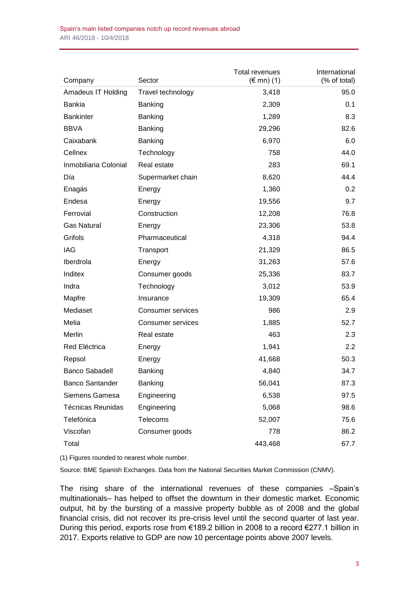| Company                  | Sector                   | <b>Total revenues</b><br>$(\in$ mn) (1) | International<br>(% of total) |
|--------------------------|--------------------------|-----------------------------------------|-------------------------------|
| Amadeus IT Holding       | Travel technology        | 3,418                                   | 95.0                          |
| <b>Bankia</b>            | Banking                  | 2,309                                   | 0.1                           |
| <b>Bankinter</b>         | Banking                  | 1,289                                   | 8.3                           |
| <b>BBVA</b>              | Banking                  | 29,296                                  | 82.6                          |
| Caixabank                | <b>Banking</b>           | 6,970                                   | 6.0                           |
| Cellnex                  | Technology               | 758                                     | 44.0                          |
| Inmobiliaria Colonial    | Real estate              | 283                                     | 69.1                          |
| Día                      | Supermarket chain        | 8,620                                   | 44.4                          |
| Enagás                   | Energy                   | 1,360                                   | 0.2                           |
| Endesa                   | Energy                   | 19,556                                  | 9.7                           |
| Ferrovial                | Construction             | 12,208                                  | 76.8                          |
| <b>Gas Natural</b>       | Energy                   | 23,306                                  | 53.8                          |
| Grifols                  | Pharmaceutical           | 4,318                                   | 94.4                          |
| IAG                      | Transport                | 21,329                                  | 86.5                          |
| Iberdrola                | Energy                   | 31,263                                  | 57.6                          |
| Inditex                  | Consumer goods           | 25,336                                  | 83.7                          |
| Indra                    | Technology               | 3,012                                   | 53.9                          |
| Mapfre                   | Insurance                | 19,309                                  | 65.4                          |
| Mediaset                 | <b>Consumer services</b> | 986                                     | 2.9                           |
| Melia                    | Consumer services        | 1,885                                   | 52.7                          |
| Merlin                   | Real estate              | 463                                     | 2.3                           |
| Red Eléctrica            | Energy                   | 1,941                                   | 2.2                           |
| Repsol                   | Energy                   | 41,668                                  | 50.3                          |
| <b>Banco Sabadell</b>    | Banking                  | 4,840                                   | 34.7                          |
| <b>Banco Santander</b>   | Banking                  | 56,041                                  | 87.3                          |
| Siemens Gamesa           | Engineering              | 6,538                                   | 97.5                          |
| <b>Técnicas Reunidas</b> | Engineering              | 5,068                                   | 98.6                          |
| Telefónica               | Telecoms                 | 52,007                                  | 75.6                          |
| Viscofan                 | Consumer goods           | 778                                     | 86.2                          |
| Total                    |                          | 443,468                                 | 67.7                          |

(1) Figures rounded to nearest whole number.

Source: BME Spanish Exchanges. Data from the National Securities Market Commission (CNMV).

The rising share of the international revenues of these companies –Spain's multinationals– has helped to offset the downturn in their domestic market. Economic output, hit by the bursting of a massive property bubble as of 2008 and the global financial crisis, did not recover its pre-crisis level until the second quarter of last year. During this period, exports rose from €189.2 billion in 2008 to a record €277.1 billion in 2017. Exports relative to GDP are now 10 percentage points above 2007 levels.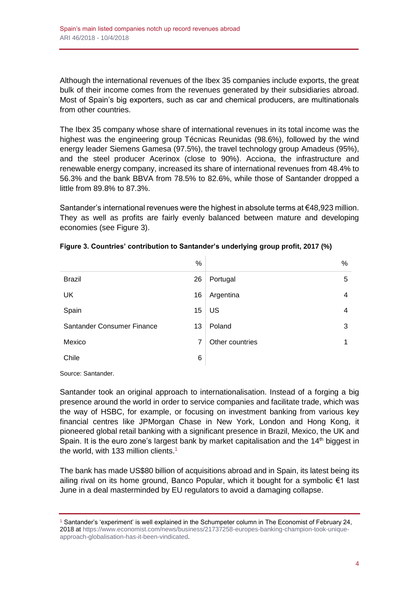Although the international revenues of the Ibex 35 companies include exports, the great bulk of their income comes from the revenues generated by their subsidiaries abroad. Most of Spain's big exporters, such as car and chemical producers, are multinationals from other countries.

The Ibex 35 company whose share of international revenues in its total income was the highest was the engineering group Técnicas Reunidas (98.6%), followed by the wind energy leader Siemens Gamesa (97.5%), the travel technology group Amadeus (95%), and the steel producer Acerinox (close to 90%). Acciona, the infrastructure and renewable energy company, increased its share of international revenues from 48.4% to 56.3% and the bank BBVA from 78.5% to 82.6%, while those of Santander dropped a little from 89.8% to 87.3%.

Santander's international revenues were the highest in absolute terms at €48,923 million. They as well as profits are fairly evenly balanced between mature and developing economies (see Figure 3).

|                            | %  |                 | $\%$ |
|----------------------------|----|-----------------|------|
| <b>Brazil</b>              | 26 | Portugal        | 5    |
| <b>UK</b>                  | 16 | Argentina       | 4    |
| Spain                      | 15 | US              | 4    |
| Santander Consumer Finance | 13 | Poland          | 3    |
| Mexico                     | 7  | Other countries | 1    |
| Chile                      | 6  |                 |      |

| Figure 3. Countries' contribution to Santander's underlying group profit, 2017 (%) |  |  |  |  |  |
|------------------------------------------------------------------------------------|--|--|--|--|--|
|------------------------------------------------------------------------------------|--|--|--|--|--|

Source: Santander.

Santander took an original approach to internationalisation. Instead of a forging a big presence around the world in order to service companies and facilitate trade, which was the way of HSBC, for example, or focusing on investment banking from various key financial centres like JPMorgan Chase in New York, London and Hong Kong, it pioneered global retail banking with a significant presence in Brazil, Mexico, the UK and Spain. It is the euro zone's largest bank by market capitalisation and the  $14<sup>th</sup>$  biggest in the world, with 133 million clients.<sup>1</sup>

The bank has made US\$80 billion of acquisitions abroad and in Spain, its latest being its ailing rival on its home ground, Banco Popular, which it bought for a symbolic €1 last June in a deal masterminded by EU regulators to avoid a damaging collapse.

<sup>1</sup> Santander's 'experiment' is well explained in the Schumpeter column in The Economist of February 24, 2018 a[t https://www.economist.com/news/business/21737258-europes-banking-champion-took-unique](https://www.economist.com/news/business/21737258-europes-banking-champion-took-unique-approach-globalisation-has-it-been-vindicated)[approach-globalisation-has-it-been-vindicated.](https://www.economist.com/news/business/21737258-europes-banking-champion-took-unique-approach-globalisation-has-it-been-vindicated)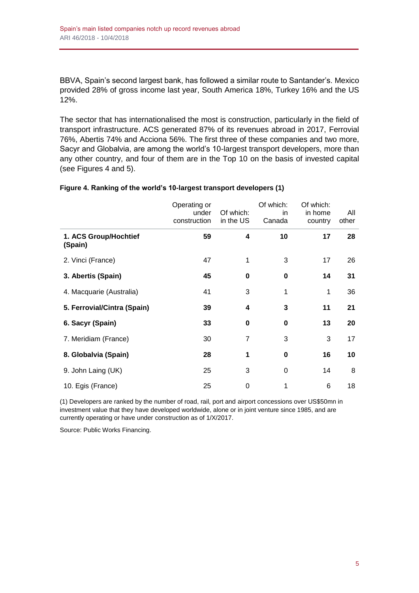BBVA, Spain's second largest bank, has followed a similar route to Santander's. Mexico provided 28% of gross income last year, South America 18%, Turkey 16% and the US 12%.

The sector that has internationalised the most is construction, particularly in the field of transport infrastructure. ACS generated 87% of its revenues abroad in 2017, Ferrovial 76%, Abertis 74% and Acciona 56%. The first three of these companies and two more, Sacyr and Globalvia, are among the world's 10-largest transport developers, more than any other country, and four of them are in the Top 10 on the basis of invested capital (see Figures 4 and 5).

|                                  | Operating or<br>under<br>construction | Of which:<br>in the US | Of which:<br>in<br>Canada | Of which:<br>in home<br>country | All<br>other |
|----------------------------------|---------------------------------------|------------------------|---------------------------|---------------------------------|--------------|
| 1. ACS Group/Hochtief<br>(Spain) | 59                                    | 4                      | 10                        | 17                              | 28           |
| 2. Vinci (France)                | 47                                    | 1                      | 3                         | 17                              | 26           |
| 3. Abertis (Spain)               | 45                                    | 0                      | 0                         | 14                              | 31           |
| 4. Macquarie (Australia)         | 41                                    | 3                      | 1                         | 1                               | 36           |
| 5. Ferrovial/Cintra (Spain)      | 39                                    | 4                      | 3                         | 11                              | 21           |
| 6. Sacyr (Spain)                 | 33                                    | 0                      | $\bf{0}$                  | 13                              | 20           |
| 7. Meridiam (France)             | 30                                    | 7                      | 3                         | 3                               | 17           |
| 8. Globalvia (Spain)             | 28                                    | 1                      | $\bf{0}$                  | 16                              | 10           |
| 9. John Laing (UK)               | 25                                    | 3                      | $\Omega$                  | 14                              | 8            |
| 10. Egis (France)                | 25                                    | 0                      | 1                         | 6                               | 18           |

### **Figure 4. Ranking of the world's 10-largest transport developers (1)**

(1) Developers are ranked by the number of road, rail, port and airport concessions over US\$50mn in investment value that they have developed worldwide, alone or in joint venture since 1985, and are currently operating or have under construction as of 1/X/2017.

Source: Public Works Financing.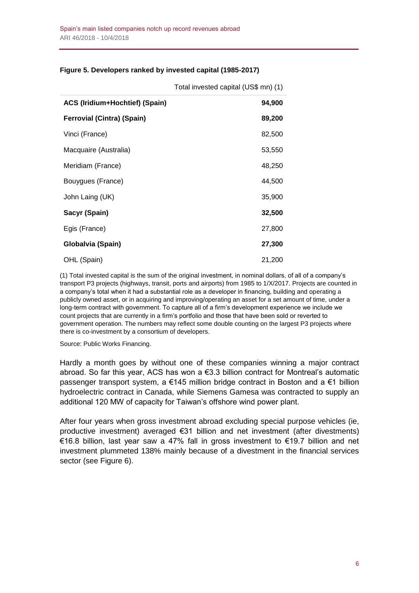### **Figure 5. Developers ranked by invested capital (1985-2017)**

| ACS (Iridium+Hochtief) (Spain)    | 94,900 |
|-----------------------------------|--------|
| <b>Ferrovial (Cintra) (Spain)</b> | 89,200 |
| Vinci (France)                    | 82,500 |
| Macquaire (Australia)             | 53,550 |
| Meridiam (France)                 | 48,250 |
| Bouygues (France)                 | 44,500 |
| John Laing (UK)                   | 35,900 |
| Sacyr (Spain)                     | 32,500 |
| Egis (France)                     | 27,800 |
| Globalvia (Spain)                 | 27,300 |
| OHL (Spain)                       | 21,200 |

Total invested capital (US\$ mn) (1)

(1) Total invested capital is the sum of the original investment, in nominal dollars, of all of a company's transport P3 projects (highways, transit, ports and airports) from 1985 to 1/X/2017. Projects are counted in a company's total when it had a substantial role as a developer in financing, building and operating a publicly owned asset, or in acquiring and improving/operating an asset for a set amount of time, under a long-term contract with government. To capture all of a firm's development experience we include we count projects that are currently in a firm's portfolio and those that have been sold or reverted to government operation. The numbers may reflect some double counting on the largest P3 projects where there is co-investment by a consortium of developers.

Source: Public Works Financing.

Hardly a month goes by without one of these companies winning a major contract abroad. So far this year, ACS has won a €3.3 billion contract for Montreal's automatic passenger transport system, a €145 million bridge contract in Boston and a €1 billion hydroelectric contract in Canada, while Siemens Gamesa was contracted to supply an additional 120 MW of capacity for Taiwan's offshore wind power plant.

After four years when gross investment abroad excluding special purpose vehicles (ie, productive investment) averaged €31 billion and net investment (after divestments) €16.8 billion, last year saw a 47% fall in gross investment to €19.7 billion and net investment plummeted 138% mainly because of a divestment in the financial services sector (see Figure 6).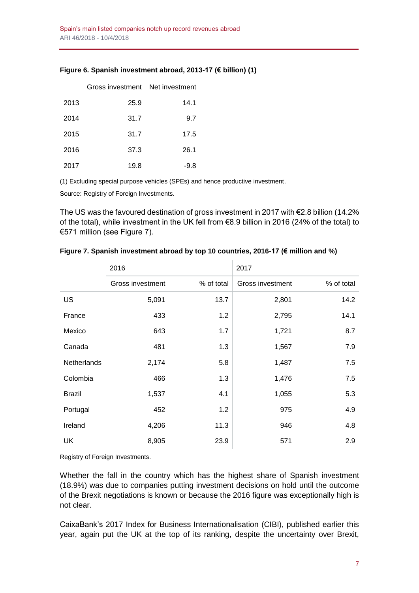|      | Gross investment Net investment |      |
|------|---------------------------------|------|
| 2013 | 25.9                            | 14.1 |
| 2014 | 31.7                            | 9.7  |
| 2015 | 31.7                            | 17.5 |
| 2016 | 37.3                            | 26.1 |
| 2017 | 19.8                            | -9.8 |

### **Figure 6. Spanish investment abroad, 2013-17 (€ billion) (1)**

(1) Excluding special purpose vehicles (SPEs) and hence productive investment.

Source: Registry of Foreign Investments.

The US was the favoured destination of gross investment in 2017 with €2.8 billion (14.2% of the total), while investment in the UK fell from €8.9 billion in 2016 (24% of the total) to €571 million (see Figure 7).

|                    | 2016             |            | 2017                    |            |  |
|--------------------|------------------|------------|-------------------------|------------|--|
|                    | Gross investment | % of total | <b>Gross investment</b> | % of total |  |
| US                 | 5,091            | 13.7       | 2,801                   | 14.2       |  |
| France             | 433              | 1.2        | 2,795                   | 14.1       |  |
| Mexico             | 643              | 1.7        | 1,721                   | 8.7        |  |
| Canada             | 481              | 1.3        | 1,567                   | 7.9        |  |
| <b>Netherlands</b> | 2,174            | 5.8        | 1,487                   | 7.5        |  |
| Colombia           | 466              | 1.3        | 1,476                   | 7.5        |  |
| <b>Brazil</b>      | 1,537            | 4.1        | 1,055                   | 5.3        |  |
| Portugal           | 452              | 1.2        | 975                     | 4.9        |  |
| Ireland            | 4,206            | 11.3       | 946                     | 4.8        |  |
| <b>UK</b>          | 8,905            | 23.9       | 571                     | 2.9        |  |

#### **Figure 7. Spanish investment abroad by top 10 countries, 2016-17 (€ million and %)**

Registry of Foreign Investments.

Whether the fall in the country which has the highest share of Spanish investment (18.9%) was due to companies putting investment decisions on hold until the outcome of the Brexit negotiations is known or because the 2016 figure was exceptionally high is not clear.

CaixaBank's 2017 Index for Business Internationalisation (CIBI), published earlier this year, again put the UK at the top of its ranking, despite the uncertainty over Brexit,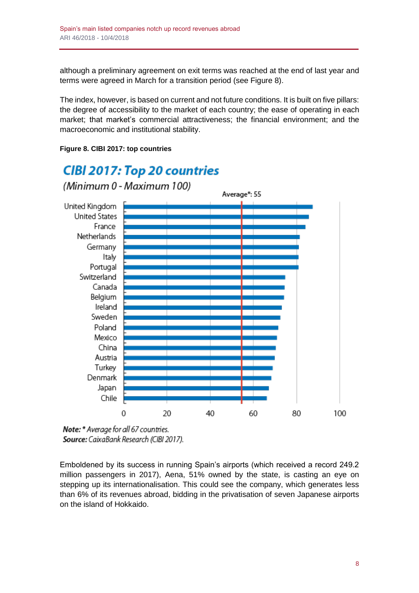although a preliminary agreement on exit terms was reached at the end of last year and terms were agreed in March for a transition period (see Figure 8).

The index, however, is based on current and not future conditions. It is built on five pillars: the degree of accessibility to the market of each country; the ease of operating in each market; that market's commercial attractiveness; the financial environment; and the macroeconomic and institutional stability.



### **Figure 8. CIBI 2017: top countries**

**CIBI 2017: Top 20 countries** 

Note: \* Average for all 67 countries. Source: CaixaBank Research (CIBI 2017).

Emboldened by its success in running Spain's airports (which received a record 249.2 million passengers in 2017), Aena, 51% owned by the state, is casting an eye on stepping up its internationalisation. This could see the company, which generates less than 6% of its revenues abroad, bidding in the privatisation of seven Japanese airports on the island of Hokkaido.